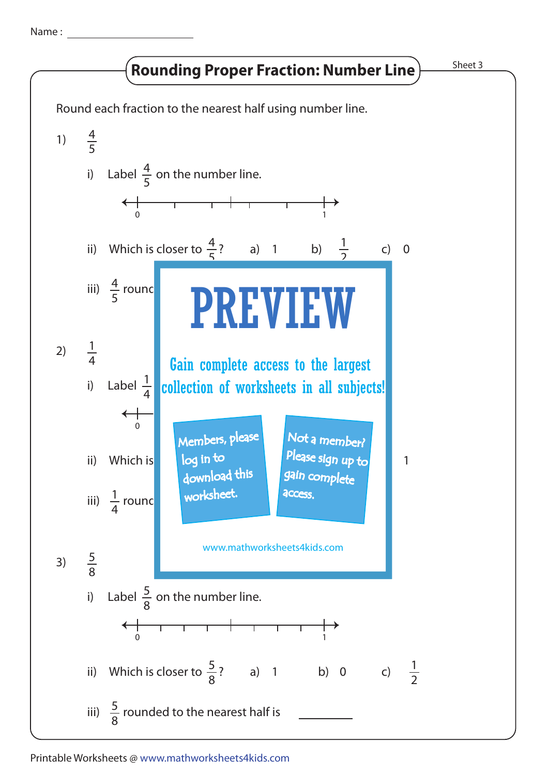Name :

## **Rounding Proper Fraction: Number Line**

Sheet 3